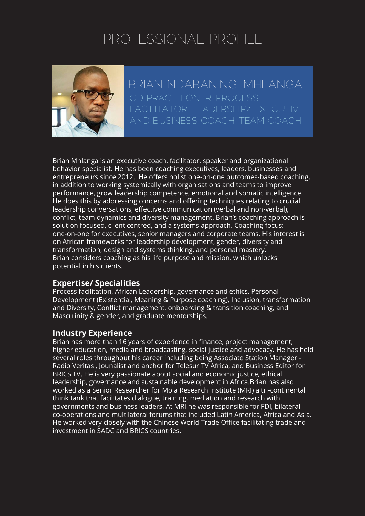# PROFESSIONAL PROFILE



BRIAN NDABANINGI MHLANGA OD PRACTITIONER, PROCESS FACILITATOR, I FADERSHIP/ EXECUTIVE

Brian Mhlanga is an executive coach, facilitator, speaker and organizational behavior specialist. He has been coaching executives, leaders, businesses and entrepreneurs since 2012. He offers holist one-on-one outcomes-based coaching, in addition to working systemically with organisations and teams to improve performance, grow leadership competence, emotional and somatic intelligence. He does this by addressing concerns and offering techniques relating to crucial leadership conversations, effective communication (verbal and non-verbal), conflict, team dynamics and diversity management. Brian's coaching approach is solution focused, client centred, and a systems approach. Coaching focus: one-on-one for executives, senior managers and corporate teams. His interest is on African frameworks for leadership development, gender, diversity and transformation, design and systems thinking, and personal mastery. Brian considers coaching as his life purpose and mission, which unlocks potential in his clients.

#### **Expertise/ Specialities**

Process facilitation, African Leadership, governance and ethics, Personal Development (Existential, Meaning & Purpose coaching), Inclusion, transformation and Diversity, Conflict management, onboarding & transition coaching, and Masculinity & gender, and graduate mentorships.

## **Industry Experience**

Brian has more than 16 years of experience in finance, project management, higher education, media and broadcasting, social justice and advocacy. He has held several roles throughout his career including being Associate Station Manager - Radio Veritas , Jounalist and anchor for Telesur TV Africa, and Business Editor for BRICS TV. He is very passionate about social and economic justice, ethical leadership, governance and sustainable development in Africa.Brian has also worked as a Senior Researcher for Moja Research Institute (MRI) a tri-continental think tank that facilitates dialogue, training, mediation and research with governments and business leaders. At MRI he was responsible for FDI, bilateral co-operations and multilateral forums that included Latin America, Africa and Asia. He worked very closely with the Chinese World Trade Office facilitating trade and investment in SADC and BRICS countries.